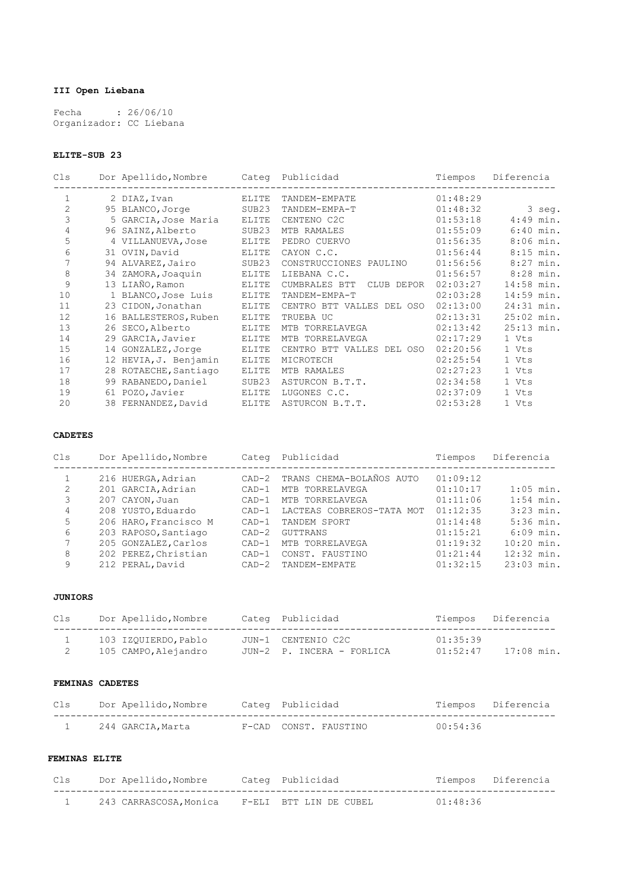# **III Open Liebana**

Fecha : 26/06/10 Organizador: CC Liebana

## **ELITE-SUB 23**

| Cls            | Dor Apellido, Nombre  | Categ             | Publicidad                  | Tiempos  | Diferencia   |
|----------------|-----------------------|-------------------|-----------------------------|----------|--------------|
|                | 2 DIAZ, Ivan          | ELITE             | TANDEM-EMPATE               | 01:48:29 |              |
| $\overline{2}$ | 95 BLANCO, Jorge      | SUB <sub>23</sub> | TANDEM-EMPA-T               | 01:48:32 | 3 seg.       |
| 3              | 5 GARCIA, Jose Maria  | ELITE             | CENTENO C2C                 | 01:53:18 | $4:49$ min.  |
| 4              | 96 SAINZ, Alberto     | SUB23             | MTB RAMALES                 | 01:55:09 | $6:40$ min.  |
| 5              | 4 VILLANUEVA, Jose    | ELITE             | PEDRO CUERVO                | 01:56:35 | $8:06$ min.  |
| 6              | 31 OVIN, David        | ELITE             | CAYON C.C.                  | 01:56:44 | $8:15$ min.  |
| 7              | 94 ALVAREZ, Jairo     | SUB23             | CONSTRUCCIONES PAULINO      | 01:56:56 | $8:27$ min.  |
| 8              | 34 ZAMORA, Joaquin    | ELITE             | LIEBANA C.C.                | 01:56:57 | 8:28 min.    |
| 9              | 13 LIAÑO, Ramon       | ELITE             | CUMBRALES BTT<br>CLUB DEPOR | 02:03:27 | 14:58 min.   |
| 10             | 1 BLANCO, Jose Luis   | ELITE             | TANDEM-EMPA-T               | 02:03:28 | 14:59 min.   |
| 11             | 23 CIDON, Jonathan    | <b>ELITE</b>      | CENTRO BTT VALLES DEL OSO   | 02:13:00 | 24:31 min.   |
| 12             | 16 BALLESTEROS, Ruben | ELITE             | TRUEBA UC                   | 02:13:31 | $25:02$ min. |
| 13             | 26 SECO, Alberto      | ELITE             | MTB TORRELAVEGA             | 02:13:42 | $25:13$ min. |
| 14             | 29 GARCIA, Javier     | ELITE             | MTB TORRELAVEGA             | 02:17:29 | 1 Vts        |
| 15             | 14 GONZALEZ, Jorge    | ELITE             | CENTRO BTT VALLES DEL OSO   | 02:20:56 | 1 Vts        |
| 16             | 12 HEVIA, J. Benjamin | ELITE             | MICROTECH                   | 02:25:54 | 1 Vts        |
| 17             | 28 ROTAECHE, Santiago | ELITE             | MTB RAMALES                 | 02:27:23 | 1 Vts        |
| 18             | 99 RABANEDO, Daniel   | SUB23             | ASTURCON B.T.T.             | 02:34:58 | 1 Vts        |
| 19             | 61 POZO, Javier       | ELITE             | LUGONES C.C.                | 02:37:09 | 1 Vts        |
| 20             | 38 FERNANDEZ, David   | ELITE             | ASTURCON B.T.T.             | 02:53:28 | 1 Vts        |
|                |                       |                   |                             |          |              |

## **CADETES**

| Cls | Dor Apellido, Nombre  | Categ   | Publicidad                     | Tiempos  | Diferencia   |
|-----|-----------------------|---------|--------------------------------|----------|--------------|
|     | 216 HUERGA, Adrian    |         | CAD-2 TRANS CHEMA-BOLAÑOS AUTO | 01:09:12 |              |
| 2   | 201 GARCIA, Adrian    | $CAD-1$ | MTB TORRELAVEGA                | 01:10:17 | $1:05$ min.  |
| 3   | 207 CAYON, Juan       | $CAD-1$ | MTB TORRELAVEGA                | 01:11:06 | $1:54$ min.  |
| 4   | 208 YUSTO, Eduardo    | $CAD-1$ | LACTEAS COBREROS-TATA MOT      | 01:12:35 | $3:23$ min.  |
| 5   | 206 HARO, Francisco M | $CAD-1$ | TANDEM SPORT                   | 01:14:48 | $5:36$ min.  |
| 6   | 203 RAPOSO, Santiago  | $CAD-2$ | GUTTRANS                       | 01:15:21 | $6:09$ min.  |
| 7   | 205 GONZALEZ, Carlos  | $CAD-1$ | MTB TORRELAVEGA                | 01:19:32 | $10:20$ min. |
| 8   | 202 PEREZ, Christian  | $CAD-1$ | CONST.<br>FAUSTINO             | 01:21:44 | $12:32$ min. |
| 9   | 212 PERAL, David      | $CAD-2$ | TANDEM-EMPATE                  | 01:32:15 | $23:03$ min. |
|     |                       |         |                                |          |              |

## **JUNIORS**

| Cls | Dor Apellido, Nombre | Cateq Publicidad          |          | Tiempos Diferencia |
|-----|----------------------|---------------------------|----------|--------------------|
|     | 103 IZOUIERDO, Pablo | JUN-1 CENTENIO C2C        | 01:35:39 |                    |
|     | 105 CAMPO, Alejandro | JUN-2 P. INCERA - FORLICA | 01:52:47 | 17:08 min.         |

#### **FEMINAS CADETES**

| Cls | Dor Apellido, Nombre | Cateq Publicidad      |          | Tiempos Diferencia |
|-----|----------------------|-----------------------|----------|--------------------|
|     | 244 GARCIA.Marta     | F-CAD CONST. FAUSTINO | 00:54:36 |                    |

# **FEMINAS ELITE**

| Cls | Dor Apellido, Nombre   | Categ Publicidad       |          | Tiempos Diferencia |
|-----|------------------------|------------------------|----------|--------------------|
|     | 243 CARRASCOSA, Monica | F-ELI BTT LIN DE CUBEL | 01.48.36 |                    |